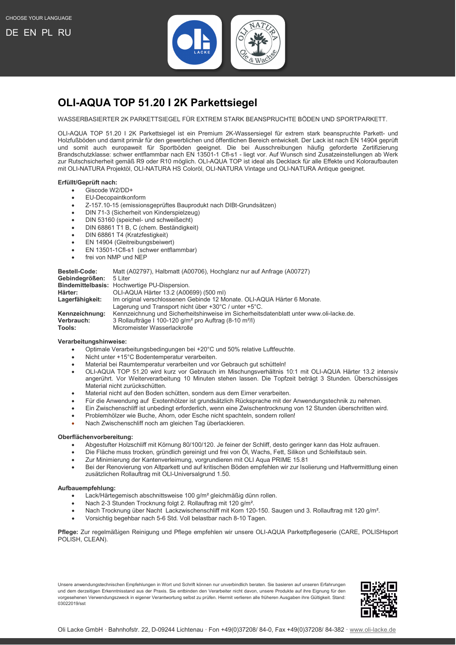

# <span id="page-0-0"></span>**OLI-AQUA TOP 51.20 I 2K Parkettsiegel**

WASSERBASIERTER 2K PARKETTSIEGEL FÜR EXTREM STARK BEANSPRUCHTE BÖDEN UND SPORTPARKETT.

OLI-AQUA TOP 51.20 I 2K Parkettsiegel ist ein Premium 2K-Wassersiegel für extrem stark beanspruchte Parkett- und Holzfußböden und damit primär für den gewerblichen und öffentlichen Bereich entwickelt. Der Lack ist nach EN 14904 geprüft und somit auch europaweit für Sportböden geeignet. Die bei Ausschreibungen häufig geforderte Zertifizierung Brandschutzklasse: schwer entflammbar nach EN 13501-1 Cfl-s1 - liegt vor. Auf Wunsch sind Zusatzeinstellungen ab Werk zur Rutschsicherheit gemäß R9 oder R10 möglich. OLI-AQUA TOP ist ideal als Decklack für alle Effekte und Koloraufbauten mit OLI-NATURA Projektöl, OLI-NATURA HS Coloröl, OLI-NATURA Vintage und OLI-NATURA Antique geeignet.

### **Erfüllt/Geprüft nach:**

- Giscode W2/DD+
- EU-Decopaintkonform
- Z-157.10-15 (emissionsgeprüftes Bauprodukt nach DIBt-Grundsätzen)
- DIN 71-3 (Sicherheit von Kinderspielzeug)
- DIN 53160 (speichel- und schweißecht)
- DIN 68861 T1 B, C (chem. Beständigkeit)
- DIN 68861 T4 (Kratzfestigkeit)
- EN 14904 (Gleitreibungsbeiwert)
- EN 13501-1Cfl-s1 (schwer entflammbar)
- frei von NMP und NEP

| <b>Bestell-Code:</b><br>Gebindegrößen: | Matt (A02797), Halbmatt (A00706), Hochglanz nur auf Anfrage (A00727)<br>5 Liter<br>Bindemittelbasis: Hochwertige PU-Dispersion. |
|----------------------------------------|---------------------------------------------------------------------------------------------------------------------------------|
|                                        |                                                                                                                                 |
| Härter:                                | OLI-AQUA Härter 13.2 (A00699) (500 ml)                                                                                          |
| Lagerfähigkeit:                        | Im original verschlossenen Gebinde 12 Monate. OLI-AQUA Härter 6 Monate.                                                         |
|                                        | Lagerung und Transport nicht über $+30^{\circ}$ C / unter $+5^{\circ}$ C.                                                       |
| Kennzeichnung:                         | Kennzeichnung und Sicherheitshinweise im Sicherheitsdatenblatt unter www.oli-lacke.de.                                          |
| Verbrauch:                             | 3 Rollaufträge I 100-120 g/m <sup>2</sup> pro Auftrag (8-10 m <sup>2</sup> /l)                                                  |
| Tools:                                 | Micromeister Wasserlackrolle                                                                                                    |

#### **Verarbeitungshinweise:**

- Optimale Verarbeitungsbedingungen bei +20°C und 50% relative Luftfeuchte.
- Nicht unter +15°C Bodentemperatur verarbeiten.
- Material bei Raumtemperatur verarbeiten und vor Gebrauch gut schütteln!
- OLI-AQUA TOP 51.20 wird kurz vor Gebrauch im Mischungsverhältnis 10:1 mit OLI-AQUA Härter 13.2 intensiv angerührt. Vor Weiterverarbeitung 10 Minuten stehen lassen. Die Topfzeit beträgt 3 Stunden. Überschüssiges Material nicht zurückschütten.
- Material nicht auf den Boden schütten, sondern aus dem Eimer verarbeiten.
- Für die Anwendung auf Exotenhölzer ist grundsätzlich Rücksprache mit der Anwendungstechnik zu nehmen.
- Ein Zwischenschliff ist unbedingt erforderlich, wenn eine Zwischentrocknung von 12 Stunden überschritten wird.
- Problemhölzer wie Buche, Ahorn, oder Esche nicht spachteln, sondern rollen!
- Nach Zwischenschliff noch am gleichen Tag überlackieren.

## **Oberflächenvorbereitung:**

- Abgestufter Holzschliff mit Körnung 80/100/120. Je feiner der Schliff, desto geringer kann das Holz aufrauen.
- Die Fläche muss trocken, gründlich gereinigt und frei von Öl, Wachs, Fett, Silikon und Schleifstaub sein.
- Zur Minimierung der Kantenverleimung, vorgrundieren mit OLI Aqua PRIME 15.81
- Bei der Renovierung von Altparkett und auf kritischen Böden empfehlen wir zur Isolierung und Haftvermittlung einen zusätzlichen Rollauftrag mit OLI-Universalgrund 1.50.

#### **Aufbauempfehlung:**

- Lack/Härtegemisch abschnittsweise 100 g/m² gleichmäßig dünn rollen.
- Nach 2-3 Stunden Trocknung folgt 2. Rollauftrag mit 120 g/m².
- Nach Trocknung über Nacht Lackzwischenschliff mit Korn 120-150. Saugen und 3. Rollauftrag mit 120 g/m².
- Vorsichtig begehbar nach 5-6 Std. Voll belastbar nach 8-10 Tagen.

**Pflege:** Zur regelmäßigen Reinigung und Pflege empfehlen wir unsere OLI-AQUA Parkettpflegeserie (CARE, POLISHsport POLISH, CLEAN).

Unsere anwendungstechnischen Empfehlungen in Wort und Schrift können nur unverbindlich beraten. Sie basieren auf unseren Erfahrungen und dem derzeitigen Erkenntnisstand aus der Praxis. Sie entbinden den Verarbeiter nicht davon, unsere Produkte auf ihre Eignung für den vorgesehenen Verwendungszweck in eigener Verantwortung selbst zu prüfen. Hiermit verlieren alle früheren Ausgaben ihre Gültigkeit. Stand: 03022019/sst

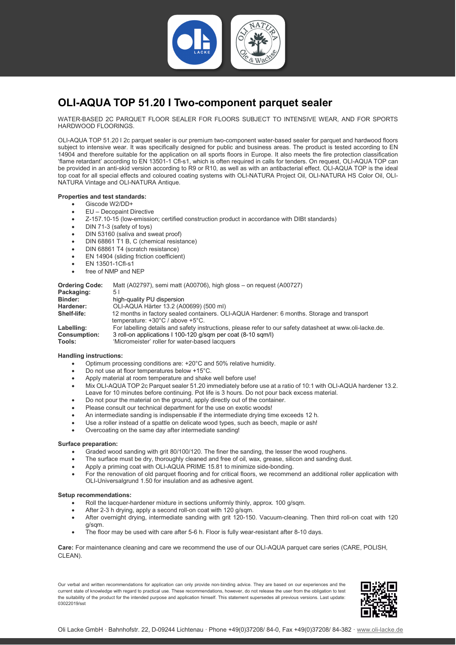

# <span id="page-1-0"></span>**OLI-AQUA TOP 51.20 I Two-component parquet sealer**

WATER-BASED 2C PARQUET FLOOR SEALER FOR FLOORS SUBJECT TO INTENSIVE WEAR, AND FOR SPORTS HARDWOOD FLOORINGS.

OLI-AQUA TOP 51.20 I 2c parquet sealer is our premium two-component water-based sealer for parquet and hardwood floors subject to intensive wear. It was specifically designed for public and business areas. The product is tested according to EN 14904 and therefore suitable for the application on all sports floors in Europe. It also meets the fire protection classification 'flame retardant' according to EN 13501-1 Cfl-s1, which is often required in calls for tenders. On request, OLI-AQUA TOP can be provided in an anti-skid version according to R9 or R10, as well as with an antibacterial effect. OLI-AQUA TOP is the ideal top coat for all special effects and coloured coating systems with OLI-NATURA Project Oil, OLI-NATURA HS Color Oil, OLI-NATURA Vintage and OLI-NATURA Antique.

# **Properties and test standards:**

- Giscode W2/DD+
- EU Decopaint Directive
- Z-157.10-15 (low-emission; certified construction product in accordance with DIBt standards)
- DIN 71-3 (safety of toys)
- DIN 53160 (saliva and sweat proof)
- DIN 68861 T1 B, C (chemical resistance)
- DIN 68861 T4 (scratch resistance)
- EN 14904 (sliding friction coefficient)
- EN 13501-1Cfl-s1
- free of NMP and NEP

| <b>Ordering Code:</b> | Matt (A02797), semi matt (A00706), high gloss – on reguest (A00727)                                                                                |
|-----------------------|----------------------------------------------------------------------------------------------------------------------------------------------------|
| Packaging:            | 5 I                                                                                                                                                |
| <b>Binder:</b>        | high-quality PU dispersion                                                                                                                         |
| Hardener:             | OLI-AQUA Härter 13.2 (A00699) (500 ml)                                                                                                             |
| Shelf-life:           | 12 months in factory sealed containers. OLI-AQUA Hardener: 6 months. Storage and transport<br>temperature: $+30^{\circ}$ C / above $+5^{\circ}$ C. |
| Labelling:            | For labelling details and safety instructions, please refer to our safety datasheet at www.oli-lacke.de.                                           |
| <b>Consumption:</b>   | 3 roll-on applications 1 100-120 g/sqm per coat (8-10 sqm/l)                                                                                       |
| Tools:                | 'Micromeister' roller for water-based lacquers                                                                                                     |

## **Handling instructions:**

- Optimum processing conditions are: +20°C and 50% relative humidity.
- Do not use at floor temperatures below +15°C.
- Apply material at room temperature and shake well before use!
- Mix OLI-AQUA TOP 2c Parquet sealer 51.20 immediately before use at a ratio of 10:1 with OLI-AQUA hardener 13.2. Leave for 10 minutes before continuing. Pot life is 3 hours. Do not pour back excess material.
- Do not pour the material on the ground, apply directly out of the container.
- Please consult our technical department for the use on exotic woods!
- An intermediate sanding is indispensable if the intermediate drying time exceeds 12 h.
- Use a roller instead of a spattle on delicate wood types, such as beech, maple or ash!
- Overcoating on the same day after intermediate sanding!

#### **Surface preparation:**

- Graded wood sanding with grit 80/100/120. The finer the sanding, the lesser the wood roughens.
- The surface must be dry, thoroughly cleaned and free of oil, wax, grease, silicon and sanding dust.
- Apply a priming coat with OLI-AQUA PRIME 15.81 to minimize side-bonding.
- For the renovation of old parquet flooring and for critical floors, we recommend an additional roller application with OLI-Universalgrund 1.50 for insulation and as adhesive agent.

#### **Setup recommendations:**

- Roll the lacquer-hardener mixture in sections uniformly thinly, approx. 100 g/sqm.
- After 2-3 h drying, apply a second roll-on coat with 120 a/sqm.
- After overnight drying, intermediate sanding with grit 120-150. Vacuum-cleaning. Then third roll-on coat with 120 g/sqm.
- The floor may be used with care after 5-6 h. Floor is fully wear-resistant after 8-10 days.

**Care:** For maintenance cleaning and care we recommend the use of our OLI-AQUA parquet care series (CARE, POLISH, CLEAN).

Our verbal and written recommendations for application can only provide non-binding advice. They are based on our experiences and the current state of knowledge with regard to practical use. These recommendations, however, do not release the user from the obligation to test the suitability of the product for the intended purpose and application himself. This statement supersedes all previous versions. Last update: 03022019/sst

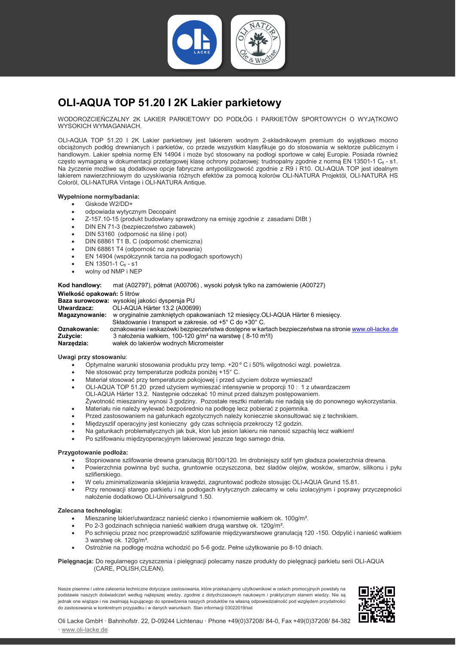

# <span id="page-2-0"></span>**OLI-AQUA TOP 51.20 I 2K Lakier parkietowy**

WODOROZCIEŃCZALNY 2K LAKIER PARKIETOWY DO PODŁÓG I PARKIETÓW SPORTOWYCH O WYJĄTKOWO WYSOKICH WYMAGANIACH.

OLI-AQUA TOP 51.20 I 2K Lakier parkietowy jest lakierem wodnym 2-składnikowym premium do wyjątkowo mocno obciążonych podłóg drewnianych i parkietów, co przede wszystkim klasyfikuje go do stosowania w sektorze publicznym i handlowym. Lakier spełnia normę EN 14904 i może być stosowany na podłogi sportowe w całej Europie. Posiada również często wymaganą w dokumentacji przetargowej klasę ochrony pożarowej: trudnopalny zgodnie z normą EN 13501-1 Cfi - s1. Na życzenie możliwe są dodatkowe opcje fabryczne antypoślizgowość zgodnie z R9 i R10. OLI-AQUA TOP jest idealnym lakierem nawierzchniowym do uzyskiwania różnych efektów za pomocą kolorów OLI-NATURA Projektöl, OLI-NATURA HS Coloröl, OLI-NATURA Vintage i OLI-NATURA Antique.

### **Wypełnione normy/badania:**

- Giskode W2/DD+
- odpowiada wytycznym Decopaint
- Z-157.10-15 (produkt budowlany sprawdzony na emisję zgodnie z zasadami DIBt )
- DIN EN 71-3 (bezpieczeństwo zabawek)
- DIN 53160 (odporność na ślinę i pot)
- DIN 68861 T1 B, C (odporność chemiczna)
- DIN 68861 T4 (odporność na zarysowania)
- EN 14904 (współczynnik tarcia na podłogach sportowych)
- $EN$  13501-1  $C_{fl}$  s1
- wolny od NMP i NEP

**Kod handlowy:** mat (A02797), półmat (A00706) , wysoki połysk tylko na zamówienie (A00727) **Wielkość opakowań:** 5 litrów

**Baza surowcowa:** wysokiej jakości dyspersja PU<br>**Utwardzacz:** OLL-AOUA Härter 13.2 (A0069

**Utwardzacz:** OLI-AQUA Härter 13.2 (A00699)

**Magazynowanie:** w oryginalnie zamkniętych opakowaniach 12 miesięcy.OLI-AQUA Härter 6 miesięcy. Składowanie i transport w zakresie. od +5° C do +30° C.<br>Oznakowanie: oznakowanie i wskazówki bezpieczeństwa dostępne w kar **Oznakowanie:** oznakowanie i wskazówki bezpieczeństwa dostępne w kartach bezpieczeństwa na stronie [www.oli-lacke.de](http://www.oli-lacke.de/)<br>Zużycie: 3. pałożenia wałkiem 100-120 g/m<sup>2</sup> na warstwe (8-10 m<sup>2</sup>/l) **Zużycie:** 3 nałożenia wałkiem, 100-120 g/m² na warstwę ( 8-10 m²/l) **Narzędzia:** wałek do lakierów wodnych Micromeister

#### **Uwagi przy stosowaniu**:

- Optymalne warunki stosowania produktu przy temp. +20 º C i 50% wilgotności wzgl. powietrza.
- Nie stosować przy temperaturze podłoża poniżej +15° C.
- Materiał stosować przy temperaturze pokojowej i przed użyciem dobrze wymieszać!
- OLI-AQUA TOP 51.20 przed użyciem wymieszać intensywnie w proporcji 10 : 1 z utwardzaczem OLI-AQUA Härter 13.2. Następnie odczekać 10 minut przed dalszym postępowaniem.
- Żywotność mieszaniny wynosi 3 godziny. Pozostałe resztki materiału nie nadają się do ponownego wykorzystania.
- Materiału nie należy wylewać bezpośrednio na podłogę lecz pobierać z pojemnika.
- Przed zastosowaniem na gatunkach egzotycznych należy koniecznie skonsultować się z technikiem.
- Międzyszlif operacyjny jest konieczny gdy czas schnięcia przekroczy 12 godzin.
- Na gatunkach problematycznych jak buk, klon lub jesion lakieru nie nanosić szpachlą lecz wałkiem!
- Po szlifowaniu międzyoperacyjnym lakierować jeszcze tego samego dnia.

### **Przygotowanie podłoża:**

- Stopniowane szlifowanie drewna granulacją 80/100/120. Im drobniejszy szlif tym gładsza powierzchnia drewna.
- Powierzchnia powinna być sucha, gruntownie oczyszczona, bez śladów olejów, wosków, smarów, silikonu i pyłu szlifierskiego.
- W celu zminimalizowania sklejania krawędzi, zagruntować podłoże stosując OLI-AQUA Grund 15.81.
- Przy renowacji starego parkietu i na podłogach krytycznych zalecamy w celu izolacyjnym i poprawy przyczepności nałożenie dodatkowo OLI-Universalgrund 1.50.

#### **Zalecana technologia:**

- Mieszaninę lakier/utwardzacz nanieść cienko i równomiernie wałkiem ok. 100g/m².
- Po 2-3 godzinach schnięcia nanieść wałkiem drugą warstwę ok. 120g/m².
- Po schnięciu przez noc przeprowadzić szlifowanie międzywarstwowe granulacją 120 -150. Odpylić i nanieść wałkiem 3 warstwę ok. 120g/m².
- Ostrożnie na podłogę można wchodzić po 5-6 godz. Pełne użytkowanie po 8-10 dniach.

### **Pielęgnacja:** Do regularnego czyszczenia i pielęgnacji polecamy nasze produkty do pielęgnacji parkietu serii OLI-AQUA (CARE, POLISH,CLEAN).

Nasze pisemne i ustne zalecenia techniczne dotyczące zastosowania, które przekazujemy użytkownikowi w celach promocyjnych powstały na podstawie naszych doświadczeń według najlepszej wiedzy, zgodnie z dotychczasowym naukowym i praktycznym stanem wiedzy. Nie są jednak one wiążące i nie zwalniają kupującego do sprawdzenia naszych produktów na własną odpowiedzialność pod względem przydatności do zastosowania w konkretnym przypadku i w danych warunkach. Stan informacji 03022019/sst



Oli Lacke GmbH · Bahnhofstr. 22, D-09244 Lichtenau · Phone +49(0)37208/ 84-0, Fax +49(0)37208/ 84-382 [· www.oli-lacke.de](http://www.oli-lacke.de/)